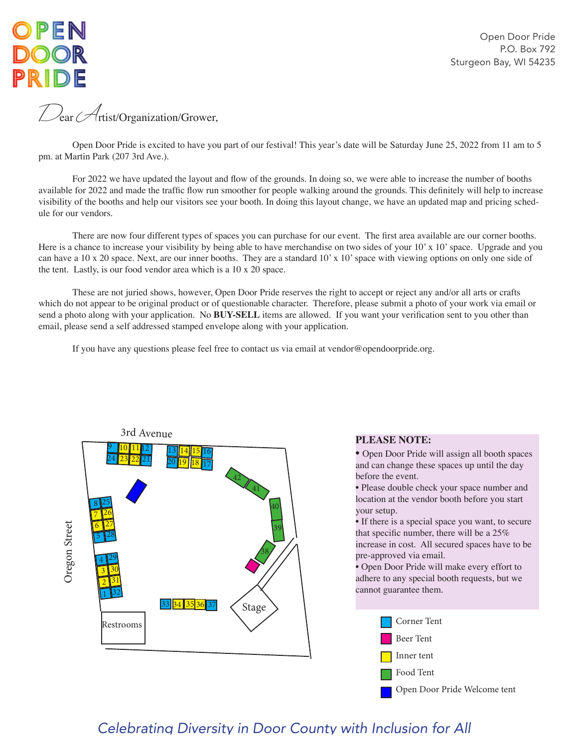

Open Door Pride P.O. Box 792 Sturgeon Bay, WI 54235

Dear Artist/Organization/Grower,

Open Door Pride is excited to have you part of our festival! This year's date will be Saturday June 25, 2022 from 11 am to 5 pm. at Martin Park (207 3rd Ave.).

 For 2022 we have updated the layout and flow of the grounds. In doing so, we were able to increase the number of booths available for 2022 and made the traffic flow run smoother for people walking around the grounds. This definitely will help to increase visibility of the booths and help our visitors see your booth. In doing this layout change, we have an updated map and pricing schedule for our vendors.

 There are now four different types of spaces you can purchase for our event. The first area available are our corner booths. Here is a chance to increase your visibility by being able to have merchandise on two sides of your 10' x 10' space. Upgrade and you can have a 10 x 20 space. Next, are our inner booths. They are a standard 10' x 10' space with viewing options on only one side of the tent. Lastly, is our food vendor area which is a 10 x 20 space.

These are not juried shows, however, Open Door Pride reserves the right to accept or reject any and/or all arts or crafts which do not appear to be original product or of questionable character. Therefore, please submit a photo of your work via email or send a photo along with your application. No **BUY-SELL** items are allowed. If you want your verification sent to you other than email, please send a self addressed stamped envelope along with your application.

 If you have any questions please feel free to contact us via email at vendor@opendoorpride.org.



#### **PLEASE NOTE:**

• Open Door Pride will assign all booth spaces and can change these spaces up until the day before the event.

• Please double check your space number and location at the vendor booth before you start your setup.

• If there is a special space you want, to secure that specific number, there will be a 25% increase in cost. All secured spaces have to be pre-approved via email.

• Open Door Pride will make every effort to adhere to any special booth requests, but we cannot guarantee them.



## *Celebrating Diversity in Door County with Inclusion for All*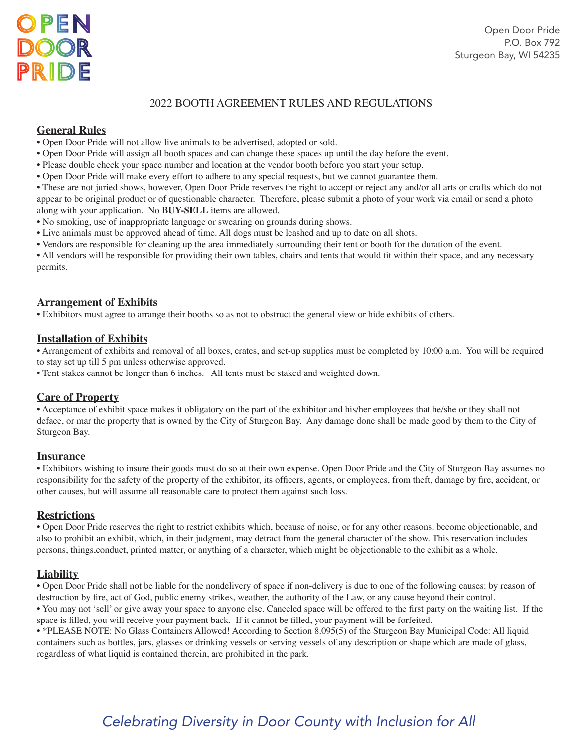### 2022 BOOTH AGREEMENT RULES AND REGULATIONS

### **General Rules**

- Open Door Pride will not allow live animals to be advertised, adopted or sold.
- Open Door Pride will assign all booth spaces and can change these spaces up until the day before the event.
- Please double check your space number and location at the vendor booth before you start your setup.
- Open Door Pride will make every effort to adhere to any special requests, but we cannot guarantee them.
- These are not juried shows, however, Open Door Pride reserves the right to accept or reject any and/or all arts or crafts which do not appear to be original product or of questionable character. Therefore, please submit a photo of your work via email or send a photo along with your application. No **BUY-SELL** items are allowed.
- No smoking, use of inappropriate language or swearing on grounds during shows.
- Live animals must be approved ahead of time. All dogs must be leashed and up to date on all shots.
- Vendors are responsible for cleaning up the area immediately surrounding their tent or booth for the duration of the event.

• All vendors will be responsible for providing their own tables, chairs and tents that would fit within their space, and any necessary permits.

#### **Arrangement of Exhibits**

• Exhibitors must agree to arrange their booths so as not to obstruct the general view or hide exhibits of others.

#### **Installation of Exhibits**

• Arrangement of exhibits and removal of all boxes, crates, and set-up supplies must be completed by 10:00 a.m. You will be required to stay set up till 5 pm unless otherwise approved.

• Tent stakes cannot be longer than 6 inches. All tents must be staked and weighted down.

#### **Care of Property**

• Acceptance of exhibit space makes it obligatory on the part of the exhibitor and his/her employees that he/she or they shall not deface, or mar the property that is owned by the City of Sturgeon Bay. Any damage done shall be made good by them to the City of Sturgeon Bay.

#### **Insurance**

• Exhibitors wishing to insure their goods must do so at their own expense. Open Door Pride and the City of Sturgeon Bay assumes no responsibility for the safety of the property of the exhibitor, its officers, agents, or employees, from theft, damage by fire, accident, or other causes, but will assume all reasonable care to protect them against such loss.

#### **Restrictions**

• Open Door Pride reserves the right to restrict exhibits which, because of noise, or for any other reasons, become objectionable, and also to prohibit an exhibit, which, in their judgment, may detract from the general character of the show. This reservation includes persons, things,conduct, printed matter, or anything of a character, which might be objectionable to the exhibit as a whole.

#### **Liability**

• Open Door Pride shall not be liable for the nondelivery of space if non-delivery is due to one of the following causes: by reason of destruction by fire, act of God, public enemy strikes, weather, the authority of the Law, or any cause beyond their control.

• You may not 'sell' or give away your space to anyone else. Canceled space will be offered to the first party on the waiting list. If the space is filled, you will receive your payment back. If it cannot be filled, your payment will be forfeited.

• \*PLEASE NOTE: No Glass Containers Allowed! According to Section 8.095(5) of the Sturgeon Bay Municipal Code: All liquid containers such as bottles, jars, glasses or drinking vessels or serving vessels of any description or shape which are made of glass, regardless of what liquid is contained therein, are prohibited in the park.

# *Celebrating Diversity in Door County with Inclusion for All*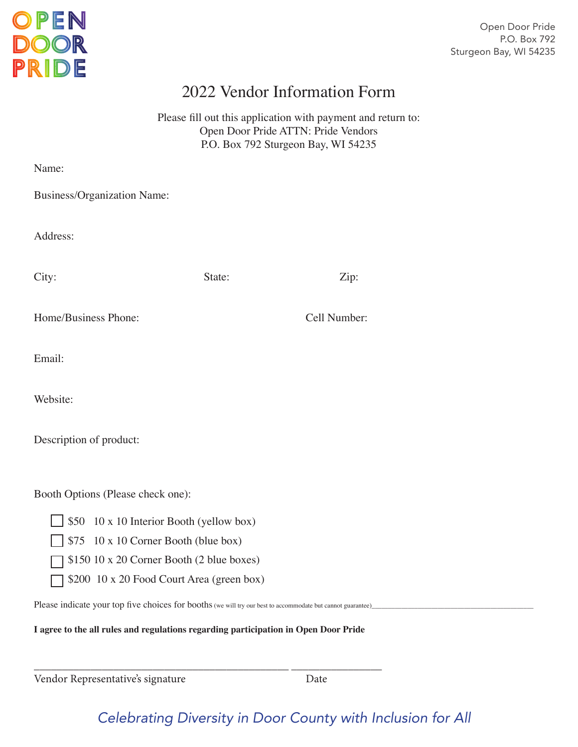

Open Door Pride P.O. Box 792 Sturgeon Bay, WI 54235

# 2022 Vendor Information Form

Please fill out this application with payment and return to: Open Door Pride ATTN: Pride Vendors P.O. Box 792 Sturgeon Bay, WI 54235

| Name:                                                                                                                    |        |              |  |  |
|--------------------------------------------------------------------------------------------------------------------------|--------|--------------|--|--|
| Business/Organization Name:                                                                                              |        |              |  |  |
| Address:                                                                                                                 |        |              |  |  |
| City:                                                                                                                    | State: | Zip:         |  |  |
| Home/Business Phone:                                                                                                     |        | Cell Number: |  |  |
| Email:                                                                                                                   |        |              |  |  |
| Website:                                                                                                                 |        |              |  |  |
| Description of product:                                                                                                  |        |              |  |  |
| Booth Options (Please check one):<br>10 x 10 Interior Booth (yellow box)<br>\$50<br>\$75 10 x 10 Corner Booth (blue box) |        |              |  |  |
| \$150 10 x 20 Corner Booth (2 blue boxes)                                                                                |        |              |  |  |
| \$200 10 x 20 Food Court Area (green box)                                                                                |        |              |  |  |
| Please indicate your top five choices for booths (we will try our best to accommodate but cannot guarantee)              |        |              |  |  |

**I agree to the all rules and regulations regarding participation in Open Door Pride**

\_\_\_\_\_\_\_\_\_\_\_\_\_\_\_\_\_\_\_\_\_\_\_\_\_\_\_\_\_\_\_\_\_\_\_\_\_\_\_\_\_\_\_\_\_ \_\_\_\_\_\_\_\_\_\_\_\_\_\_\_\_

Vendor Representative's signature Date

# *Celebrating Diversity in Door County with Inclusion for All*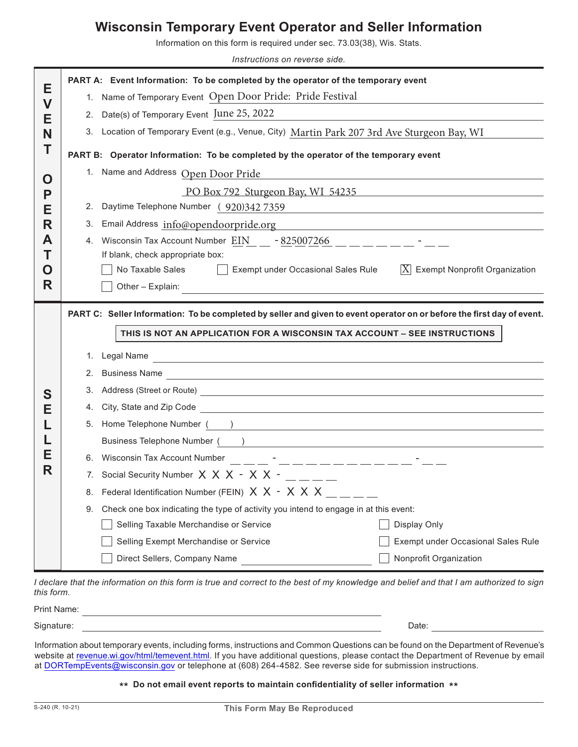### **Wisconsin Temporary Event Operator and Seller Information**

Information on this form is required under sec. 73.03(38), Wis. Stats.

*Instructions on reverse side.*

| Е      | PART A: Event Information: To be completed by the operator of the temporary event                                        |                                                                                                                                                                                                                                     |                                                                                                                        |  |  |  |
|--------|--------------------------------------------------------------------------------------------------------------------------|-------------------------------------------------------------------------------------------------------------------------------------------------------------------------------------------------------------------------------------|------------------------------------------------------------------------------------------------------------------------|--|--|--|
| V      | 1. Name of Temporary Event Open Door Pride: Pride Festival                                                               |                                                                                                                                                                                                                                     |                                                                                                                        |  |  |  |
| Е      | 2. Date(s) of Temporary Event June 25, 2022                                                                              |                                                                                                                                                                                                                                     |                                                                                                                        |  |  |  |
| N      | Location of Temporary Event (e.g., Venue, City) Martin Park 207 3rd Ave Sturgeon Bay, WI<br>3.                           |                                                                                                                                                                                                                                     |                                                                                                                        |  |  |  |
|        | PART B: Operator Information: To be completed by the operator of the temporary event                                     |                                                                                                                                                                                                                                     |                                                                                                                        |  |  |  |
|        |                                                                                                                          | 1. Name and Address Open Door Pride                                                                                                                                                                                                 | <u> 1980 - Andrea Aonaichte, ann an t-Èireann an t-Èireann an t-Èireann an t-Èireann an t-Èireann an t-Èireann an </u> |  |  |  |
| Ő<br>P |                                                                                                                          | PO Box 792 Sturgeon Bay, WI 54235                                                                                                                                                                                                   |                                                                                                                        |  |  |  |
| Е      | 2.                                                                                                                       | Daytime Telephone Number (920)342 7359<br><u> 1980 - Andrea Barbara, poeta esperanto-</u>                                                                                                                                           |                                                                                                                        |  |  |  |
| R      | Email Address info@opendoorpride.org<br>3.<br><u> 1989 - Johann Stein, mars an deus Amerikaansk kommunister (* 1958)</u> |                                                                                                                                                                                                                                     |                                                                                                                        |  |  |  |
| A      | 4.                                                                                                                       | Wisconsin Tax Account Number EIN $-825007266$ _ _ _ _ _ _ _ _ _ _ _                                                                                                                                                                 |                                                                                                                        |  |  |  |
|        | If blank, check appropriate box:                                                                                         |                                                                                                                                                                                                                                     |                                                                                                                        |  |  |  |
| O      |                                                                                                                          | No Taxable Sales<br>Exempt under Occasional Sales Rule                                                                                                                                                                              | $ \overline{X} $ Exempt Nonprofit Organization                                                                         |  |  |  |
| R      |                                                                                                                          | Other - Explain:                                                                                                                                                                                                                    |                                                                                                                        |  |  |  |
|        | PART C: Seller Information: To be completed by seller and given to event operator on or before the first day of event.   |                                                                                                                                                                                                                                     |                                                                                                                        |  |  |  |
|        |                                                                                                                          | THIS IS NOT AN APPLICATION FOR A WISCONSIN TAX ACCOUNT - SEE INSTRUCTIONS                                                                                                                                                           |                                                                                                                        |  |  |  |
|        |                                                                                                                          |                                                                                                                                                                                                                                     |                                                                                                                        |  |  |  |
|        | 1.                                                                                                                       | Legal Name<br><u> 1989 - Johann Stoff, deutscher Stoff, der Stoff, der Stoff, der Stoff, der Stoff, der Stoff, der Stoff, der S</u>                                                                                                 |                                                                                                                        |  |  |  |
|        |                                                                                                                          | 2.                                                                                                                                                                                                                                  |                                                                                                                        |  |  |  |
| S      | 3.                                                                                                                       |                                                                                                                                                                                                                                     |                                                                                                                        |  |  |  |
| Е      | 4.                                                                                                                       | City, State and Zip Code <u>experience</u> and the control of the state and Zip Code and The control of the control of the control of the control of the control of the control of the control of the control of the control of the |                                                                                                                        |  |  |  |
|        |                                                                                                                          | 5. Home Telephone Number ( )                                                                                                                                                                                                        |                                                                                                                        |  |  |  |
| Е      |                                                                                                                          | Business Telephone Number (2008) and the contract of the contract of the contract of the contract of the contract of the contract of the contract of the contract of the contract of the contract of the contract of the contr      |                                                                                                                        |  |  |  |
| R      |                                                                                                                          |                                                                                                                                                                                                                                     |                                                                                                                        |  |  |  |
|        |                                                                                                                          | 7. Social Security Number $X \times X - X \times -$                                                                                                                                                                                 |                                                                                                                        |  |  |  |
|        | 8.                                                                                                                       | Federal Identification Number (FEIN) X X - X X X                                                                                                                                                                                    |                                                                                                                        |  |  |  |
|        | 9.                                                                                                                       | Check one box indicating the type of activity you intend to engage in at this event:                                                                                                                                                |                                                                                                                        |  |  |  |
|        |                                                                                                                          | Selling Taxable Merchandise or Service                                                                                                                                                                                              | Display Only                                                                                                           |  |  |  |
|        |                                                                                                                          | Selling Exempt Merchandise or Service                                                                                                                                                                                               | <b>Exempt under Occasional Sales Rule</b>                                                                              |  |  |  |
|        |                                                                                                                          | Direct Sellers, Company Name                                                                                                                                                                                                        | Nonprofit Organization                                                                                                 |  |  |  |

*I declare that the information on this form is true and correct to the best of my knowledge and belief and that I am authorized to sign this form.*

Print Name: **All and Street Accounts and Street Accounts** and Street Accounts and Street Accounts and Street Accounts and Street Accounts and Street Accounts and Street Accounts and Street Accounts and Street Accounts and

Signature: Date:

Information about temporary events, including forms, instructions and Common Questions can be found on the Department of Revenue's website at revenue.wi.gov/html/temevent.html. If you have additional questions, please contact the Department of Revenue by email at DORTempEvents@wisconsin.gov or telephone at (608) 264-4582. See reverse side for submission instructions.

#### **\*\* Do not email event reports to maintain confidentiality of seller information \*\***